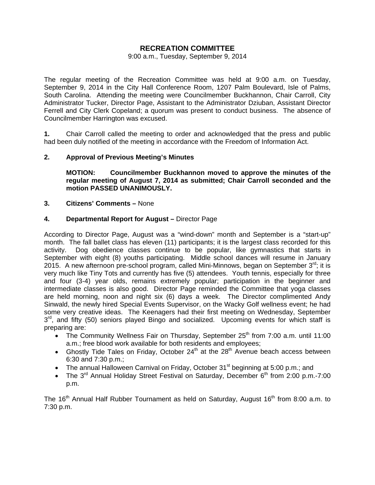# **RECREATION COMMITTEE**

#### 9:00 a.m., Tuesday, September 9, 2014

The regular meeting of the Recreation Committee was held at 9:00 a.m. on Tuesday, September 9, 2014 in the City Hall Conference Room, 1207 Palm Boulevard, Isle of Palms, South Carolina. Attending the meeting were Councilmember Buckhannon, Chair Carroll, City Administrator Tucker, Director Page, Assistant to the Administrator Dziuban, Assistant Director Ferrell and City Clerk Copeland; a quorum was present to conduct business. The absence of Councilmember Harrington was excused.

**1.** Chair Carroll called the meeting to order and acknowledged that the press and public had been duly notified of the meeting in accordance with the Freedom of Information Act.

## **2. Approval of Previous Meeting's Minutes**

 **MOTION: Councilmember Buckhannon moved to approve the minutes of the regular meeting of August 7, 2014 as submitted; Chair Carroll seconded and the motion PASSED UNANIMOUSLY.** 

### **3. Citizens' Comments –** None

## **4. Departmental Report for August –** Director Page

According to Director Page, August was a "wind-down" month and September is a "start-up" month. The fall ballet class has eleven (11) participants; it is the largest class recorded for this activity. Dog obedience classes continue to be popular, like gymnastics that starts in September with eight (8) youths participating. Middle school dances will resume in January 2015. A new afternoon pre-school program, called Mini-Minnows, began on September  $3^{\text{rd}}$ ; it is very much like Tiny Tots and currently has five (5) attendees. Youth tennis, especially for three and four (3-4) year olds, remains extremely popular; participation in the beginner and intermediate classes is also good. Director Page reminded the Committee that yoga classes are held morning, noon and night six (6) days a week. The Director complimented Andy Sinwald, the newly hired Special Events Supervisor, on the Wacky Golf wellness event; he had some very creative ideas. The Keenagers had their first meeting on Wednesday, September  $3<sup>rd</sup>$ , and fifty (50) seniors played Bingo and socialized. Upcoming events for which staff is preparing are:

- The Community Wellness Fair on Thursday, September  $25<sup>th</sup>$  from 7:00 a.m. until 11:00 a.m.; free blood work available for both residents and employees;
- Ghostly Tide Tales on Friday, October 24<sup>th</sup> at the 28<sup>th</sup> Avenue beach access between 6:30 and 7:30 p.m.;
- The annual Halloween Carnival on Friday, October 31<sup>st</sup> beginning at 5:00 p.m.; and
- The  $3<sup>rd</sup>$  Annual Holiday Street Festival on Saturday, December  $6<sup>th</sup>$  from 2:00 p.m.-7:00 p.m.

The 16<sup>th</sup> Annual Half Rubber Tournament as held on Saturday, August 16<sup>th</sup> from 8:00 a.m. to 7:30 p.m.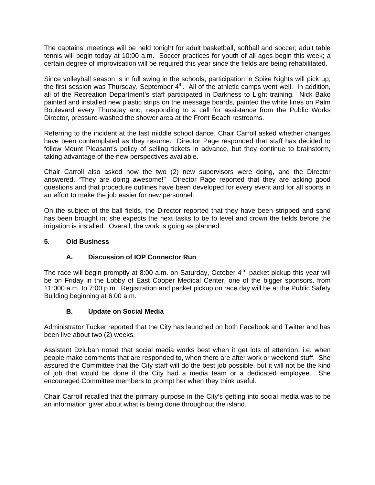The captains' meetings will be held tonight for adult basketball, softball and soccer; adult table tennis will begin today at 10:00 a.m. Soccer practices for youth of all ages begin this week; a certain degree of improvisation will be required this year since the fields are being rehabilitated.

Since volleyball season is in full swing in the schools, participation in Spike Nights will pick up; the first session was Thursday, September  $4<sup>th</sup>$ . All of the athletic camps went well. In addition, all of the Recreation Department's staff participated in Darkness to Light training. Nick Bako painted and installed new plastic strips on the message boards, painted the white lines on Palm Boulevard every Thursday and, responding to a call for assistance from the Public Works Director, pressure-washed the shower area at the Front Beach restrooms.

Referring to the incident at the last middle school dance, Chair Carroll asked whether changes have been contemplated as they resume. Director Page responded that staff has decided to follow Mount Pleasant's policy of selling tickets in advance, but they continue to brainstorm, taking advantage of the new perspectives available.

Chair Carroll also asked how the two (2) new supervisors were doing, and the Director answered, "They are doing awesome!" Director Page reported that they are asking good questions and that procedure outlines have been developed for every event and for all sports in an effort to make the job easier for new personnel.

On the subject of the ball fields, the Director reported that they have been stripped and sand has been brought in; she expects the next tasks to be to level and crown the fields before the irrigation is installed. Overall, the work is going as planned.

## **5. Old Business**

# **A. Discussion of IOP Connector Run**

The race will begin promptly at 8:00 a.m. on Saturday, October  $4<sup>th</sup>$ ; packet pickup this year will be on Friday in the Lobby of East Cooper Medical Center, one of the bigger sponsors, from 11:000 a.m. to 7:00 p.m. Registration and packet pickup on race day will be at the Public Safety Building beginning at 6:00 a.m.

# **B. Update on Social Media**

Administrator Tucker reported that the City has launched on both Facebook and Twitter and has been live about two (2) weeks.

Assistant Dziuban noted that social media works best when it get lots of attention, i.e. when people make comments that are responded to, when there are after work or weekend stuff. She assured the Committee that the City staff will do the best job possible, but it will not be the kind of job that would be done if the City had a media team or a dedicated employee. She encouraged Committee members to prompt her when they think useful.

Chair Carroll recalled that the primary purpose in the City's getting into social media was to be an information giver about what is being done throughout the island.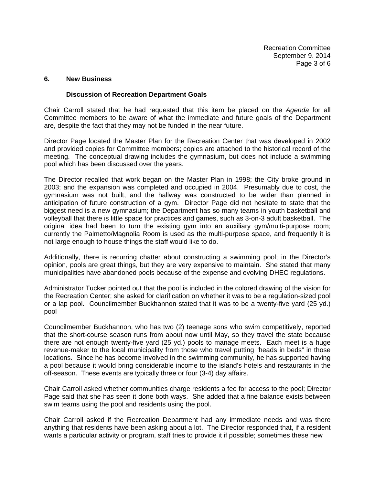#### **6. New Business**

#### **Discussion of Recreation Department Goals**

Chair Carroll stated that he had requested that this item be placed on the *Agenda* for all Committee members to be aware of what the immediate and future goals of the Department are, despite the fact that they may not be funded in the near future.

Director Page located the Master Plan for the Recreation Center that was developed in 2002 and provided copies for Committee members; copies are attached to the historical record of the meeting. The conceptual drawing includes the gymnasium, but does not include a swimming pool which has been discussed over the years.

The Director recalled that work began on the Master Plan in 1998; the City broke ground in 2003; and the expansion was completed and occupied in 2004. Presumably due to cost, the gymnasium was not built, and the hallway was constructed to be wider than planned in anticipation of future construction of a gym. Director Page did not hesitate to state that the biggest need is a new gymnasium; the Department has so many teams in youth basketball and volleyball that there is little space for practices and games, such as 3-on-3 adult basketball. The original idea had been to turn the existing gym into an auxiliary gym/multi-purpose room; currently the Palmetto/Magnolia Room is used as the multi-purpose space, and frequently it is not large enough to house things the staff would like to do.

Additionally, there is recurring chatter about constructing a swimming pool; in the Director's opinion, pools are great things, but they are very expensive to maintain. She stated that many municipalities have abandoned pools because of the expense and evolving DHEC regulations.

Administrator Tucker pointed out that the pool is included in the colored drawing of the vision for the Recreation Center; she asked for clarification on whether it was to be a regulation-sized pool or a lap pool. Councilmember Buckhannon stated that it was to be a twenty-five yard (25 yd.) pool

Councilmember Buckhannon, who has two (2) teenage sons who swim competitively, reported that the short-course season runs from about now until May, so they travel the state because there are not enough twenty-five yard (25 yd.) pools to manage meets. Each meet is a huge revenue-maker to the local municipality from those who travel putting "heads in beds" in those locations. Since he has become involved in the swimming community, he has supported having a pool because it would bring considerable income to the island's hotels and restaurants in the off-season. These events are typically three or four (3-4) day affairs.

Chair Carroll asked whether communities charge residents a fee for access to the pool; Director Page said that she has seen it done both ways. She added that a fine balance exists between swim teams using the pool and residents using the pool.

Chair Carroll asked if the Recreation Department had any immediate needs and was there anything that residents have been asking about a lot. The Director responded that, if a resident wants a particular activity or program, staff tries to provide it if possible; sometimes these new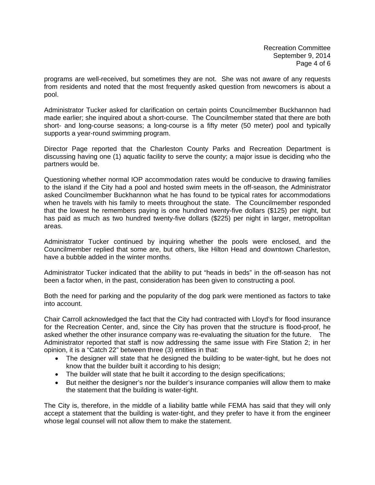programs are well-received, but sometimes they are not. She was not aware of any requests from residents and noted that the most frequently asked question from newcomers is about a pool.

Administrator Tucker asked for clarification on certain points Councilmember Buckhannon had made earlier; she inquired about a short-course. The Councilmember stated that there are both short- and long-course seasons; a long-course is a fifty meter (50 meter) pool and typically supports a year-round swimming program.

Director Page reported that the Charleston County Parks and Recreation Department is discussing having one (1) aquatic facility to serve the county; a major issue is deciding who the partners would be.

Questioning whether normal IOP accommodation rates would be conducive to drawing families to the island if the City had a pool and hosted swim meets in the off-season, the Administrator asked Councilmember Buckhannon what he has found to be typical rates for accommodations when he travels with his family to meets throughout the state. The Councilmember responded that the lowest he remembers paying is one hundred twenty-five dollars (\$125) per night, but has paid as much as two hundred twenty-five dollars (\$225) per night in larger, metropolitan areas.

Administrator Tucker continued by inquiring whether the pools were enclosed, and the Councilmember replied that some are, but others, like Hilton Head and downtown Charleston, have a bubble added in the winter months.

Administrator Tucker indicated that the ability to put "heads in beds" in the off-season has not been a factor when, in the past, consideration has been given to constructing a pool.

Both the need for parking and the popularity of the dog park were mentioned as factors to take into account.

Chair Carroll acknowledged the fact that the City had contracted with Lloyd's for flood insurance for the Recreation Center, and, since the City has proven that the structure is flood-proof, he asked whether the other insurance company was re-evaluating the situation for the future. The Administrator reported that staff is now addressing the same issue with Fire Station 2; in her opinion, it is a "Catch 22" between three (3) entities in that:

- The designer will state that he designed the building to be water-tight, but he does not know that the builder built it according to his design;
- The builder will state that he built it according to the design specifications;
- But neither the designer's nor the builder's insurance companies will allow them to make the statement that the building is water-tight.

The City is, therefore, in the middle of a liability battle while FEMA has said that they will only accept a statement that the building is water-tight, and they prefer to have it from the engineer whose legal counsel will not allow them to make the statement.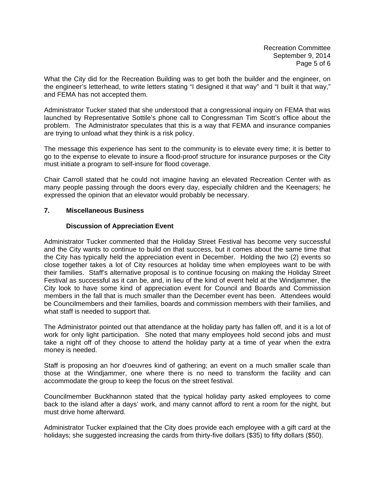Recreation Committee September 9, 2014 Page 5 of 6

What the City did for the Recreation Building was to get both the builder and the engineer, on the engineer's letterhead, to write letters stating "I designed it that way" and "I built it that way," and FEMA has not accepted them.

Administrator Tucker stated that she understood that a congressional inquiry on FEMA that was launched by Representative Sottile's phone call to Congressman Tim Scott's office about the problem. The Administrator speculates that this is a way that FEMA and insurance companies are trying to unload what they think is a risk policy.

The message this experience has sent to the community is to elevate every time; it is better to go to the expense to elevate to insure a flood-proof structure for insurance purposes or the City must initiate a program to self-insure for flood coverage.

Chair Carroll stated that he could not imagine having an elevated Recreation Center with as many people passing through the doors every day, especially children and the Keenagers; he expressed the opinion that an elevator would probably be necessary.

## **7. Miscellaneous Business**

## **Discussion of Appreciation Event**

Administrator Tucker commented that the Holiday Street Festival has become very successful and the City wants to continue to build on that success, but it comes about the same time that the City has typically held the appreciation event in December. Holding the two (2) events so close together takes a lot of City resources at holiday time when employees want to be with their families. Staff's alternative proposal is to continue focusing on making the Holiday Street Festival as successful as it can be, and, in lieu of the kind of event held at the Windjammer, the City look to have some kind of appreciation event for Council and Boards and Commission members in the fall that is much smaller than the December event has been. Attendees would be Councilmembers and their families, boards and commission members with their families, and what staff is needed to support that.

The Administrator pointed out that attendance at the holiday party has fallen off, and it is a lot of work for only light participation. She noted that many employees hold second jobs and must take a night off of they choose to attend the holiday party at a time of year when the extra money is needed.

Staff is proposing an hor d'oeuvres kind of gathering; an event on a much smaller scale than those at the Windjammer, one where there is no need to transform the facility and can accommodate the group to keep the focus on the street festival.

Councilmember Buckhannon stated that the typical holiday party asked employees to come back to the island after a days' work, and many cannot afford to rent a room for the night, but must drive home afterward.

Administrator Tucker explained that the City does provide each employee with a gift card at the holidays; she suggested increasing the cards from thirty-five dollars (\$35) to fifty dollars (\$50).